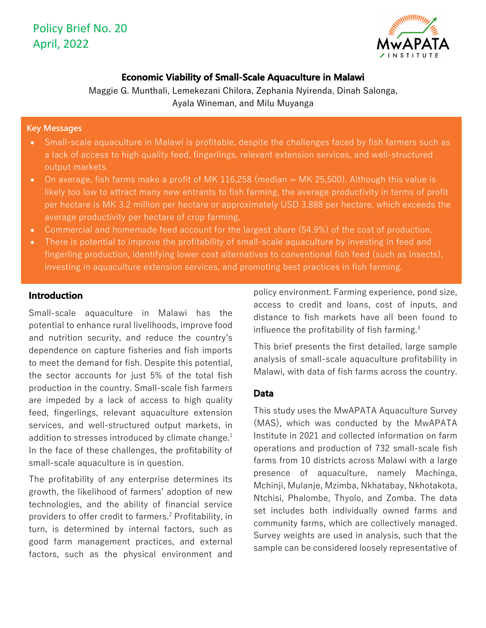

# **Economic Viability of Small-Scale Aquaculture in Malawi**

Maggie G. Munthali, Lemekezani Chilora, Zephania Nyirenda, Dinah Salonga, Ayala Wineman, and Milu Muyanga

### **Key Messages**

- Small-scale aquaculture in Malawi is profitable, despite the challenges faced by fish farmers such as a lack of access to high quality feed, fingerlings, relevant extension services, and well-structured output markets.
- On average, fish farms make a profit of MK 116,258 (median = MK 25,500). Although this value is likely too low to attract many new entrants to fish farming, the average productivity in terms of profit per hectare is MK 3.2 million per hectare or approximately USD 3,888 per hectare, which exceeds the average productivity per hectare of crop farming.
- Commercial and homemade feed account for the largest share (54.9%) of the cost of production.
- There is potential to improve the profitability of small-scale aquaculture by investing in feed and fingerling production, identifying lower cost alternatives to conventional fish feed (such as insects), investing in aquaculture extension services, and promoting best practices in fish farming.

# **Introduction**

Small-scale aquaculture in Malawi has the potential to enhance rural livelihoods, improve food and nutrition security, and reduce the country's dependence on capture fisheries and fish imports to meet the demand for fish. Despite this potential, the sector accounts for just 5% of the total fish production in the country. Small-scale fish farmers are impeded by a lack of access to high quality feed, fingerlings, relevant aquaculture extension services, and well-structured output markets, in addition to stresses introduced by climate change.<sup>1</sup> In the face of these challenges, the profitability of small-scale aquaculture is in question.

The profitability of any enterprise determines its growth, the likelihood of farmers' adoption of new technologies, and the ability of financial service providers to offer credit to farmers. <sup>2</sup> Profitability, in turn, is determined by internal factors, such as good farm management practices, and external factors, such as the physical environment and

policy environment. Farming experience, pond size, access to credit and loans, cost of inputs, and distance to fish markets have all been found to influence the profitability of fish farming.<sup>3</sup>

This brief presents the first detailed, large sample analysis of small-scale aquaculture profitability in Malawi, with data of fish farms across the country.

## **Data**

This study uses the MwAPATA Aquaculture Survey (MAS), which was conducted by the MwAPATA Institute in 2021 and collected information on farm operations and production of 732 small-scale fish farms from 10 districts across Malawi with a large presence of aquaculture, namely Machinga, Mchinji, Mulanje, Mzimba, Nkhatabay, Nkhotakota, Ntchisi, Phalombe, Thyolo, and Zomba. The data set includes both individually owned farms and community farms, which are collectively managed. Survey weights are used in analysis, such that the sample can be considered loosely representative of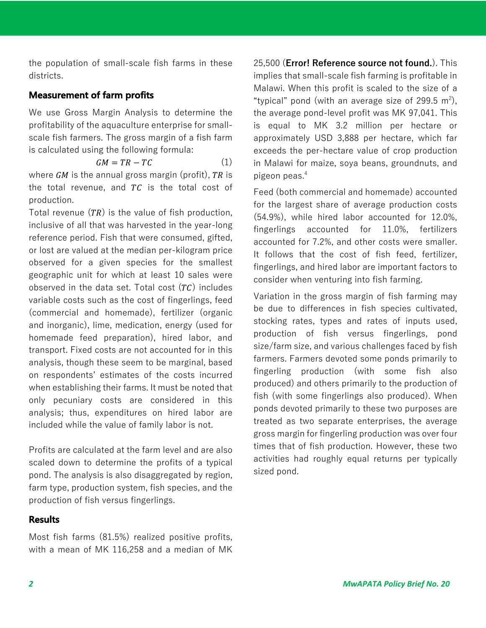the population of small-scale fish farms in these districts.

# **Measurement of farm profits**

We use Gross Margin Analysis to determine the profitability of the aquaculture enterprise for smallscale fish farmers. The gross margin of a fish farm is calculated using the following formula:

$$
GM = TR - TC \tag{1}
$$

where  $GM$  is the annual gross margin (profit), TR is the total revenue, and  $TC$  is the total cost of production.

Total revenue  $(TR)$  is the value of fish production, inclusive of all that was harvested in the year-long reference period. Fish that were consumed, gifted, or lost are valued at the median per-kilogram price observed for a given species for the smallest geographic unit for which at least 10 sales were observed in the data set. Total cost  $(TC)$  includes variable costs such as the cost of fingerlings, feed (commercial and homemade), fertilizer (organic and inorganic), lime, medication, energy (used for homemade feed preparation), hired labor, and transport. Fixed costs are not accounted for in this analysis, though these seem to be marginal, based on respondents' estimates of the costs incurred when establishing their farms. It must be noted that only pecuniary costs are considered in this analysis; thus, expenditures on hired labor are included while the value of family labor is not.

Profits are calculated at the farm level and are also scaled down to determine the profits of a typical pond. The analysis is also disaggregated by region, farm type, production system, fish species, and the production of fish versus fingerlings.

## **Results**

Most fish farms (81.5%) realized positive profits, with a mean of MK 116,258 and a median of MK

25,500 (**Error! Reference source not found.**). This implies that small-scale fish farming is profitable in Malawi. When this profit is scaled to the size of a "typical" pond (with an average size of 299.5  $m^2$ ), the average pond-level profit was MK 97,041. This is equal to MK 3.2 million per hectare or approximately USD 3,888 per hectare, which far exceeds the per-hectare value of crop production in Malawi for maize, soya beans, groundnuts, and pigeon peas.4

Feed (both commercial and homemade) accounted for the largest share of average production costs (54.9%), while hired labor accounted for 12.0%, fingerlings accounted for 11.0%, fertilizers accounted for 7.2%, and other costs were smaller. It follows that the cost of fish feed, fertilizer, fingerlings, and hired labor are important factors to consider when venturing into fish farming.

Variation in the gross margin of fish farming may be due to differences in fish species cultivated, stocking rates, types and rates of inputs used, production of fish versus fingerlings, pond size/farm size, and various challenges faced by fish farmers. Farmers devoted some ponds primarily to fingerling production (with some fish also produced) and others primarily to the production of fish (with some fingerlings also produced). When ponds devoted primarily to these two purposes are treated as two separate enterprises, the average gross margin for fingerling production was over four times that of fish production. However, these two activities had roughly equal returns per typically sized pond.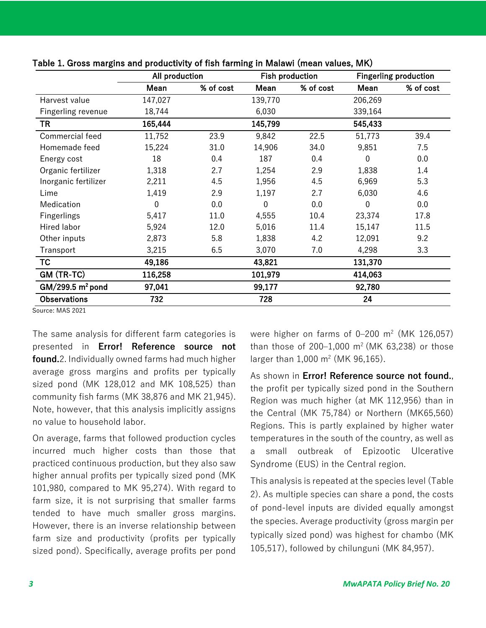|                      | All production |           | <b>Fish production</b> |           | <b>Fingerling production</b> |           |
|----------------------|----------------|-----------|------------------------|-----------|------------------------------|-----------|
|                      | Mean           | % of cost | Mean                   | % of cost | Mean                         | % of cost |
| Harvest value        | 147,027        |           | 139,770                |           | 206,269                      |           |
| Fingerling revenue   | 18,744         |           | 6,030                  |           | 339,164                      |           |
| TR                   | 165,444        |           | 145,799                |           | 545,433                      |           |
| Commercial feed      | 11,752         | 23.9      | 9,842                  | 22.5      | 51,773                       | 39.4      |
| Homemade feed        | 15,224         | 31.0      | 14,906                 | 34.0      | 9,851                        | 7.5       |
| Energy cost          | 18             | 0.4       | 187                    | 0.4       | 0                            | 0.0       |
| Organic fertilizer   | 1,318          | 2.7       | 1,254                  | 2.9       | 1,838                        | 1.4       |
| Inorganic fertilizer | 2,211          | 4.5       | 1,956                  | 4.5       | 6,969                        | 5.3       |
| Lime                 | 1,419          | 2.9       | 1,197                  | 2.7       | 6,030                        | 4.6       |
| Medication           | 0              | 0.0       | $\Omega$               | 0.0       | 0                            | 0.0       |
| <b>Fingerlings</b>   | 5,417          | 11.0      | 4,555                  | 10.4      | 23,374                       | 17.8      |
| <b>Hired labor</b>   | 5,924          | 12.0      | 5,016                  | 11.4      | 15,147                       | 11.5      |
| Other inputs         | 2,873          | 5.8       | 1,838                  | 4.2       | 12,091                       | 9.2       |
| Transport            | 3,215          | 6.5       | 3,070                  | 7.0       | 4,298                        | 3.3       |
| TC                   | 49,186         |           | 43,821                 |           | 131,370                      |           |
| GM (TR-TC)           | 116,258        |           | 101,979                |           | 414,063                      |           |
| $GM/299.5 m2$ pond   | 97,041         |           | 99,177                 |           | 92,780                       |           |
| <b>Observations</b>  | 732            |           | 728                    |           | 24                           |           |

Table 1. Gross margins and productivity of fish farming in Malawi (mean values, MK)

Source: MAS 2021

The same analysis for different farm categories is presented in **Error! Reference source not found.**2. Individually owned farms had much higher average gross margins and profits per typically sized pond (MK 128,012 and MK 108,525) than community fish farms (MK 38,876 and MK 21,945). Note, however, that this analysis implicitly assigns no value to household labor.

On average, farms that followed production cycles incurred much higher costs than those that practiced continuous production, but they also saw higher annual profits per typically sized pond (MK 101,980, compared to MK 95,274). With regard to farm size, it is not surprising that smaller farms tended to have much smaller gross margins. However, there is an inverse relationship between farm size and productivity (profits per typically sized pond). Specifically, average profits per pond were higher on farms of  $0-200$  m<sup>2</sup> (MK 126,057) than those of 200–1,000  $m^2$  (MK 63,238) or those larger than  $1,000 \text{ m}^2$  (MK 96,165).

As shown in **Error! Reference source not found.**, the profit per typically sized pond in the Southern Region was much higher (at MK 112,956) than in the Central (MK 75,784) or Northern (MK65,560) Regions. This is partly explained by higher water temperatures in the south of the country, as well as a small outbreak of Epizootic Ulcerative Syndrome (EUS) in the Central region.

This analysis is repeated at the species level (Table 2). As multiple species can share a pond, the costs of pond-level inputs are divided equally amongst the species. Average productivity (gross margin per typically sized pond) was highest for chambo (MK 105,517), followed by chilunguni (MK 84,957).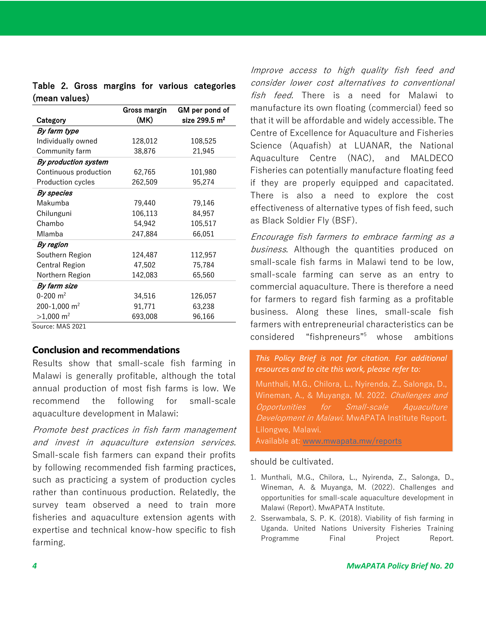|                          | Gross margin | GM per pond of  |  |
|--------------------------|--------------|-----------------|--|
| Category                 | (MK)         | size 299.5 $m2$ |  |
| By farm type             |              |                 |  |
| Individually owned       | 128,012      | 108,525         |  |
| Community farm           | 38,876       | 21,945          |  |
| By production system     |              |                 |  |
| Continuous production    | 62,765       | 101,980         |  |
| <b>Production cycles</b> | 262,509      | 95,274          |  |
| By species               |              |                 |  |
| Makumba                  | 79,440       | 79,146          |  |
| Chilunguni               | 106,113      | 84,957          |  |
| Chambo                   | 54,942       | 105,517         |  |
| Mlamba                   | 247,884      | 66,051          |  |
| By region                |              |                 |  |
| Southern Region          | 124,487      | 112,957         |  |
| <b>Central Region</b>    | 47,502       | 75,784          |  |
| Northern Region          | 142,083      | 65,560          |  |
| By farm size             |              |                 |  |
| $0 - 200$ m <sup>2</sup> | 34,516       | 126,057         |  |
| 200-1,000 m <sup>2</sup> | 91,771       | 63,238          |  |
| $>1,000$ m <sup>2</sup>  | 693,008      | 96,166          |  |

Table 2. Gross margins for various categories (mean values)

Source: MAS 2021

#### **Conclusion and recommendations**

Results show that small-scale fish farming in Malawi is generally profitable, although the total annual production of most fish farms is low. We recommend the following for small-scale aquaculture development in Malawi:

Promote best practices in fish farm management and invest in aquaculture extension services. Small-scale fish farmers can expand their profits by following recommended fish farming practices, such as practicing a system of production cycles rather than continuous production. Relatedly, the survey team observed a need to train more fisheries and aquaculture extension agents with expertise and technical know-how specific to fish farming.

Improve access to high quality fish feed and consider lower cost alternatives to conventional fish feed. There is a need for Malawi to manufacture its own floating (commercial) feed so that it will be affordable and widely accessible. The Centre of Excellence for Aquaculture and Fisheries Science (Aquafish) at LUANAR, the National Aquaculture Centre (NAC), and MALDECO Fisheries can potentially manufacture floating feed if they are properly equipped and capacitated. There is also a need to explore the cost effectiveness of alternative types of fish feed, such as Black Soldier Fly (BSF).

Encourage fish farmers to embrace farming as <sup>a</sup> business. Although the quantities produced on small-scale fish farms in Malawi tend to be low, small-scale farming can serve as an entry to commercial aquaculture. There is therefore a need for farmers to regard fish farming as a profitable business. Along these lines, small-scale fish farmers with entrepreneurial characteristics can be considered "fishpreneurs"5 whose ambitions

### *This Policy Brief is not for citation. For additional resources and to cite this work, please refer to:*

Munthali, M.G., Chilora, L., Nyirenda, Z., Salonga, D., Wineman, A., & Muyanga, M. 2022. Challenges and Opportunities for Small-scale Aquaculture Development in Malawi. MwAPATA Institute Report. Lilongwe, Malawi.

Available at: www.mwapata.mw/reports

#### should be cultivated.

- 1. Munthali, M.G., Chilora, L., Nyirenda, Z., Salonga, D., Wineman, A. & Muyanga, M. (2022). Challenges and opportunities for small-scale aquaculture development in Malawi (Report). MwAPATA Institute.
- 2. Sserwambala, S. P. K. (2018). Viability of fish farming in Uganda. United Nations University Fisheries Training Programme Final Project Report.